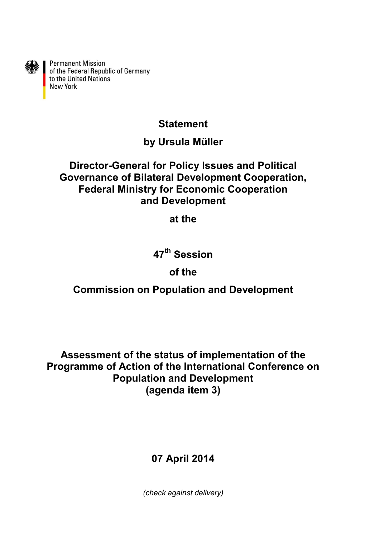

Permanent Mission<br>of the Federal Republic of Germany<br>to the United Nations **New York** 

### **Statement**

### **by Ursula Müller**

#### **Director-General for Policy Issues and Political Governance of Bilateral Development Cooperation, Federal Ministry for Economic Cooperation and Development**

**at the**

# **47th Session**

## **of the**

## **Commission on Population and Development**

**Assessment of the status of implementation of the Programme of Action of the International Conference on Population and Development (agenda item 3)**

# **07 April 2014**

*(check against delivery)*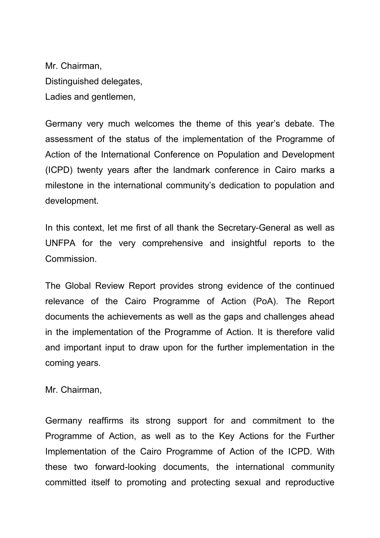Mr. Chairman, Distinguished delegates, Ladies and gentlemen,

Germany very much welcomes the theme of this year's debate. The assessment of the status of the implementation of the Programme of Action of the International Conference on Population and Development (ICPD) twenty years after the landmark conference in Cairo marks a milestone in the international community's dedication to population and development.

In this context, let me first of all thank the Secretary-General as well as UNFPA for the very comprehensive and insightful reports to the Commission.

The Global Review Report provides strong evidence of the continued relevance of the Cairo Programme of Action (PoA). The Report documents the achievements as well as the gaps and challenges ahead in the implementation of the Programme of Action. It is therefore valid and important input to draw upon for the further implementation in the coming years.

Mr. Chairman,

Germany reaffirms its strong support for and commitment to the Programme of Action, as well as to the Key Actions for the Further Implementation of the Cairo Programme of Action of the ICPD. With these two forward-looking documents, the international community committed itself to promoting and protecting sexual and reproductive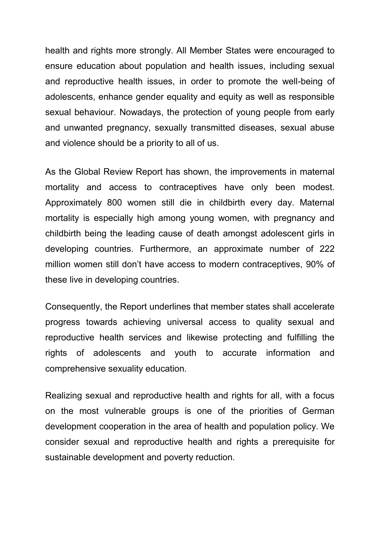health and rights more strongly. All Member States were encouraged to ensure education about population and health issues, including sexual and reproductive health issues, in order to promote the well-being of adolescents, enhance gender equality and equity as well as responsible sexual behaviour. Nowadays, the protection of young people from early and unwanted pregnancy, sexually transmitted diseases, sexual abuse and violence should be a priority to all of us.

As the Global Review Report has shown, the improvements in maternal mortality and access to contraceptives have only been modest. Approximately 800 women still die in childbirth every day. Maternal mortality is especially high among young women, with pregnancy and childbirth being the leading cause of death amongst adolescent girls in developing countries. Furthermore, an approximate number of 222 million women still don't have access to modern contraceptives, 90% of these live in developing countries.

Consequently, the Report underlines that member states shall accelerate progress towards achieving universal access to quality sexual and reproductive health services and likewise protecting and fulfilling the rights of adolescents and youth to accurate information and comprehensive sexuality education.

Realizing sexual and reproductive health and rights for all, with a focus on the most vulnerable groups is one of the priorities of German development cooperation in the area of health and population policy. We consider sexual and reproductive health and rights a prerequisite for sustainable development and poverty reduction.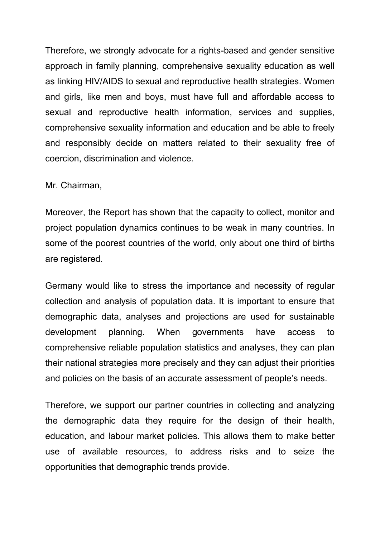Therefore, we strongly advocate for a rights-based and gender sensitive approach in family planning, comprehensive sexuality education as well as linking HIV/AIDS to sexual and reproductive health strategies. Women and girls, like men and boys, must have full and affordable access to sexual and reproductive health information, services and supplies, comprehensive sexuality information and education and be able to freely and responsibly decide on matters related to their sexuality free of coercion, discrimination and violence.

Mr. Chairman,

Moreover, the Report has shown that the capacity to collect, monitor and project population dynamics continues to be weak in many countries. In some of the poorest countries of the world, only about one third of births are registered.

Germany would like to stress the importance and necessity of regular collection and analysis of population data. It is important to ensure that demographic data, analyses and projections are used for sustainable development planning. When governments have access to comprehensive reliable population statistics and analyses, they can plan their national strategies more precisely and they can adjust their priorities and policies on the basis of an accurate assessment of people's needs.

Therefore, we support our partner countries in collecting and analyzing the demographic data they require for the design of their health, education, and labour market policies. This allows them to make better use of available resources, to address risks and to seize the opportunities that demographic trends provide.